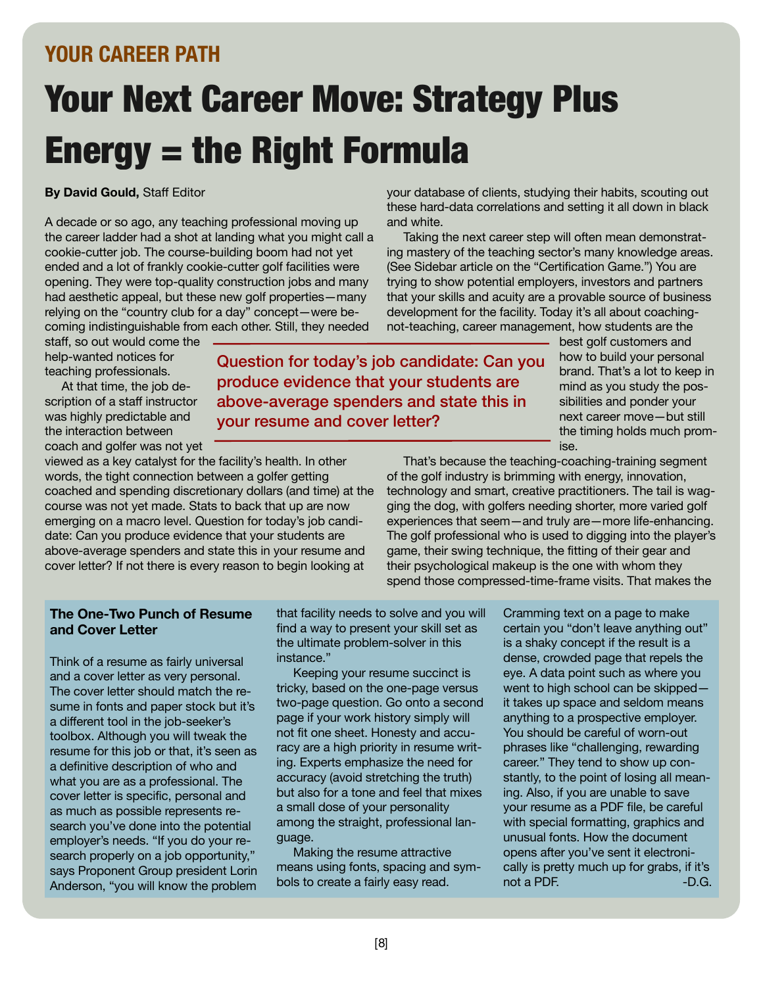## **YOUR CAREER PATH**

# Your Next Career Move: Strategy Plus Energy = the Right Formula

### **By David Gould,** Staff Editor

A decade or so ago, any teaching professional moving up the career ladder had a shot at landing what you might call a cookie-cutter job. The course-building boom had not yet ended and a lot of frankly cookie-cutter golf facilities were opening. They were top-quality construction jobs and many had aesthetic appeal, but these new golf properties—many relying on the "country club for a day" concept—were becoming indistinguishable from each other. Still, they needed

your database of clients, studying their habits, scouting out these hard-data correlations and setting it all down in black and white.

Taking the next career step will often mean demonstrating mastery of the teaching sector's many knowledge areas. (See Sidebar article on the "Certification Game.") You are trying to show potential employers, investors and partners that your skills and acuity are a provable source of business development for the facility. Today it's all about coachingnot-teaching, career management, how students are the

staff, so out would come the help-wanted notices for teaching professionals.

At that time, the job description of a staff instructor was highly predictable and the interaction between coach and golfer was not yet

viewed as a key catalyst for the facility's health. In other words, the tight connection between a golfer getting coached and spending discretionary dollars (and time) at the course was not yet made. Stats to back that up are now emerging on a macro level. Question for today's job candidate: Can you produce evidence that your students are above-average spenders and state this in your resume and cover letter? If not there is every reason to begin looking at

Question for today's job candidate: Can you produce evidence that your students are above-average spenders and state this in your resume and cover letter?

best golf customers and how to build your personal brand. That's a lot to keep in mind as you study the possibilities and ponder your next career move—but still the timing holds much promise.

That's because the teaching-coaching-training segment of the golf industry is brimming with energy, innovation, technology and smart, creative practitioners. The tail is wagging the dog, with golfers needing shorter, more varied golf experiences that seem—and truly are—more life-enhancing. The golf professional who is used to digging into the player's game, their swing technique, the fitting of their gear and their psychological makeup is the one with whom they spend those compressed-time-frame visits. That makes the

### **The One-Two Punch of Resume and Cover Letter**

Think of a resume as fairly universal and a cover letter as very personal. The cover letter should match the resume in fonts and paper stock but it's a different tool in the job-seeker's toolbox. Although you will tweak the resume for this job or that, it's seen as a definitive description of who and what you are as a professional. The cover letter is specific, personal and as much as possible represents research you've done into the potential employer's needs. "If you do your research properly on a job opportunity, " says Proponent Group president Lorin Anderson, "you will know the problem

that facility needs to solve and you will find a way to present your skill set as the ultimate problem-solver in this instance."

Keeping your resume succinct is tricky, based on the one-page versus two-page question. Go onto a second page if your work history simply will not fit one sheet. Honesty and accuracy are a high priority in resume writing. Experts emphasize the need for accuracy (avoid stretching the truth) but also for a tone and feel that mixes a small dose of your personality among the straight, professional language.

Making the resume attractive means using fonts, spacing and symbols to create a fairly easy read.

Cramming text on a page to make certain you "don't leave anything out" is a shaky concept if the result is a dense, crowded page that repels the eye. A data point such as where you went to high school can be skipped it takes up space and seldom means anything to a prospective employer. You should be careful of worn-out phrases like "challenging, rewarding career." They tend to show up constantly, to the point of losing all meaning. Also, if you are unable to save your resume as a PDF file, be careful with special formatting, graphics and unusual fonts. How the document opens after you've sent it electronically is pretty much up for grabs, if it's not a PDF. **-D.G.**